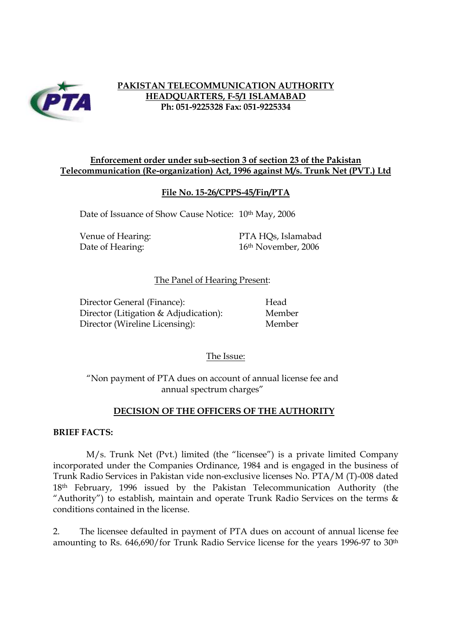

# **PAKISTAN TELECOMMUNICATION AUTHORITY HEADQUARTERS, F-5/1 ISLAMABAD Ph: 051-9225328 Fax: 051-9225334**

# **Enforcement order under sub-section 3 of section 23 of the Pakistan Telecommunication (Re-organization) Act, 1996 against M/s. Trunk Net (PVT.) Ltd**

# **File No. 15-26/CPPS-45/Fin/PTA**

Date of Issuance of Show Cause Notice: 10<sup>th</sup> May, 2006

Venue of Hearing: PTA HQs, Islamabad Date of Hearing: 16th November, 2006

# The Panel of Hearing Present:

Director General (Finance): Head Director (Litigation & Adjudication): Member Director (Wireline Licensing): Member

The Issue:

"Non payment of PTA dues on account of annual license fee and annual spectrum charges"

# **DECISION OF THE OFFICERS OF THE AUTHORITY**

#### **BRIEF FACTS:**

M/s. Trunk Net (Pvt.) limited (the "licensee") is a private limited Company incorporated under the Companies Ordinance, 1984 and is engaged in the business of Trunk Radio Services in Pakistan vide non-exclusive licenses No. PTA/M (T)-008 dated 18th February, 1996 issued by the Pakistan Telecommunication Authority (the "Authority") to establish, maintain and operate Trunk Radio Services on the terms  $\&$ conditions contained in the license.

2. The licensee defaulted in payment of PTA dues on account of annual license fee amounting to Rs. 646,690/for Trunk Radio Service license for the years 1996-97 to 30th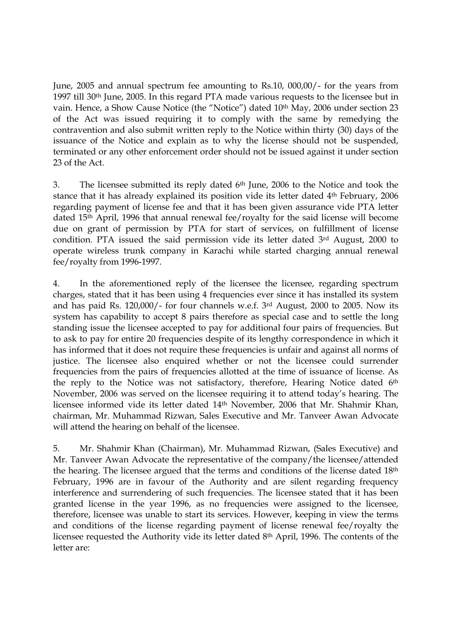June, 2005 and annual spectrum fee amounting to Rs.10, 000,00/- for the years from 1997 till 30th June, 2005. In this regard PTA made various requests to the licensee but in vain. Hence, a Show Cause Notice (the "Notice") dated 10<sup>th</sup> May, 2006 under section 23 of the Act was issued requiring it to comply with the same by remedying the contravention and also submit written reply to the Notice within thirty (30) days of the issuance of the Notice and explain as to why the license should not be suspended, terminated or any other enforcement order should not be issued against it under section 23 of the Act.

3. The licensee submitted its reply dated 6th June, 2006 to the Notice and took the stance that it has already explained its position vide its letter dated 4th February, 2006 regarding payment of license fee and that it has been given assurance vide PTA letter dated 15th April, 1996 that annual renewal fee/royalty for the said license will become due on grant of permission by PTA for start of services, on fulfillment of license condition. PTA issued the said permission vide its letter dated 3rd August, 2000 to operate wireless trunk company in Karachi while started charging annual renewal fee/royalty from 1996-1997.

4. In the aforementioned reply of the licensee the licensee, regarding spectrum charges, stated that it has been using 4 frequencies ever since it has installed its system and has paid Rs. 120,000/- for four channels w.e.f. 3rd August, 2000 to 2005. Now its system has capability to accept 8 pairs therefore as special case and to settle the long standing issue the licensee accepted to pay for additional four pairs of frequencies. But to ask to pay for entire 20 frequencies despite of its lengthy correspondence in which it has informed that it does not require these frequencies is unfair and against all norms of justice. The licensee also enquired whether or not the licensee could surrender frequencies from the pairs of frequencies allotted at the time of issuance of license. As the reply to the Notice was not satisfactory, therefore, Hearing Notice dated 6<sup>th</sup> November, 2006 was served on the licensee requiring it to attend today's hearing. The licensee informed vide its letter dated 14th November, 2006 that Mr. Shahmir Khan, chairman, Mr. Muhammad Rizwan, Sales Executive and Mr. Tanveer Awan Advocate will attend the hearing on behalf of the licensee.

5. Mr. Shahmir Khan (Chairman), Mr. Muhammad Rizwan, (Sales Executive) and Mr. Tanveer Awan Advocate the representative of the company/the licensee/attended the hearing. The licensee argued that the terms and conditions of the license dated 18th February, 1996 are in favour of the Authority and are silent regarding frequency interference and surrendering of such frequencies. The licensee stated that it has been granted license in the year 1996, as no frequencies were assigned to the licensee, therefore, licensee was unable to start its services. However, keeping in view the terms and conditions of the license regarding payment of license renewal fee/royalty the licensee requested the Authority vide its letter dated 8th April, 1996. The contents of the letter are: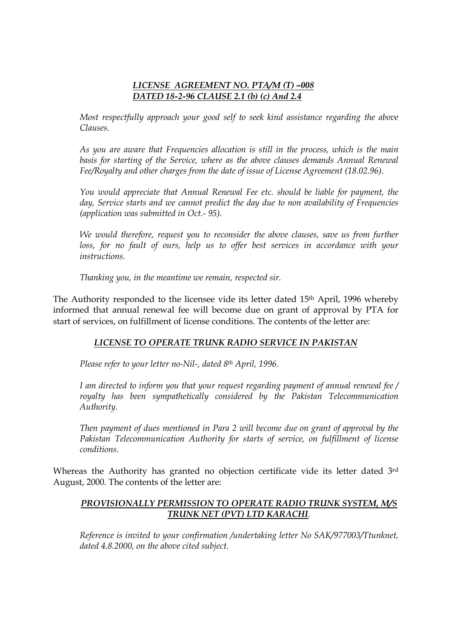## *LICENSE AGREEMENT NO. PTA/M (T) –008 DATED 18-2-96 CLAUSE 2.1 (b) (c) And 2.4*

*Most respectfully approach your good self to seek kind assistance regarding the above Clauses.* 

*As you are aware that Frequencies allocation is still in the process, which is the main*  basis for starting of the Service, where as the above clauses demands Annual Renewal *Fee/Royalty and other charges from the date of issue of License Agreement (18.02.96).* 

*You would appreciate that Annual Renewal Fee etc. should be liable for payment, the day, Service starts and we cannot predict the day due to non availability of Frequencies (application was submitted in Oct.- 95).* 

*We would therefore, request you to reconsider the above clauses, save us from further* loss, for no fault of ours, help us to offer best services in accordance with your *instructions.* 

*Thanking you, in the meantime we remain, respected sir.* 

The Authority responded to the licensee vide its letter dated 15th April, 1996 whereby informed that annual renewal fee will become due on grant of approval by PTA for start of services, on fulfillment of license conditions. The contents of the letter are:

# *LICENSE TO OPERATE TRUNK RADIO SERVICE IN PAKISTAN*

*Please refer to your letter no-Nil-, dated 8th April, 1996.* 

*I am directed to inform you that your request regarding payment of annual renewal fee / royalty has been sympathetically considered by the Pakistan Telecommunication Authority.* 

*Then payment of dues mentioned in Para 2 will become due on grant of approval by the Pakistan Telecommunication Authority for starts of service, on fulfillment of license conditions.* 

Whereas the Authority has granted no objection certificate vide its letter dated 3rd August, 2000. The contents of the letter are:

## *PROVISIONALLY PERMISSION TO OPERATE RADIO TRUNK SYSTEM, M/S TRUNK NET (PVT) LTD KARACHI.*

*Reference is invited to your confirmation /undertaking letter No SAK/977003/Ttunknet, dated 4.8.2000, on the above cited subject.*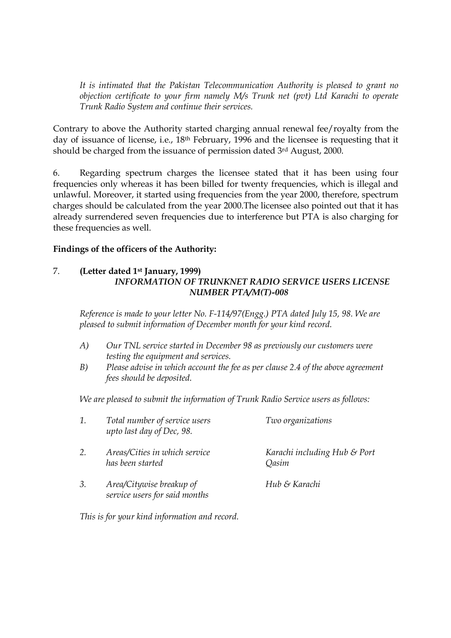*It is intimated that the Pakistan Telecommunication Authority is pleased to grant no objection certificate to your firm namely M/s Trunk net (pvt) Ltd Karachi to operate Trunk Radio System and continue their services.* 

Contrary to above the Authority started charging annual renewal fee/royalty from the day of issuance of license, i.e., 18th February, 1996 and the licensee is requesting that it should be charged from the issuance of permission dated 3rd August, 2000.

6. Regarding spectrum charges the licensee stated that it has been using four frequencies only whereas it has been billed for twenty frequencies, which is illegal and unlawful. Moreover, it started using frequencies from the year 2000, therefore, spectrum charges should be calculated from the year 2000.The licensee also pointed out that it has already surrendered seven frequencies due to interference but PTA is also charging for these frequencies as well.

# **Findings of the officers of the Authority:**

## 7. **(Letter dated 1st January, 1999)**  *INFORMATION OF TRUNKNET RADIO SERVICE USERS LICENSE NUMBER PTA/M(T)-008*

*Reference is made to your letter No. F-114/97(Engg.) PTA dated July 15, 98. We are pleased to submit information of December month for your kind record.* 

- *A) Our TNL service started in December 98 as previously our customers were testing the equipment and services.*
- *B) Please advise in which account the fee as per clause 2.4 of the above agreement fees should be deposited.*

*We are pleased to submit the information of Trunk Radio Service users as follows:* 

| 1. | Total number of service users<br>upto last day of Dec, 98. | Two organizations                     |
|----|------------------------------------------------------------|---------------------------------------|
| 2. | Areas/Cities in which service<br>has been started          | Karachi including Hub & Port<br>Qasim |
| 3. | Area/Citywise breakup of<br>service users for said months  | Hub & Karachi                         |

*This is for your kind information and record.*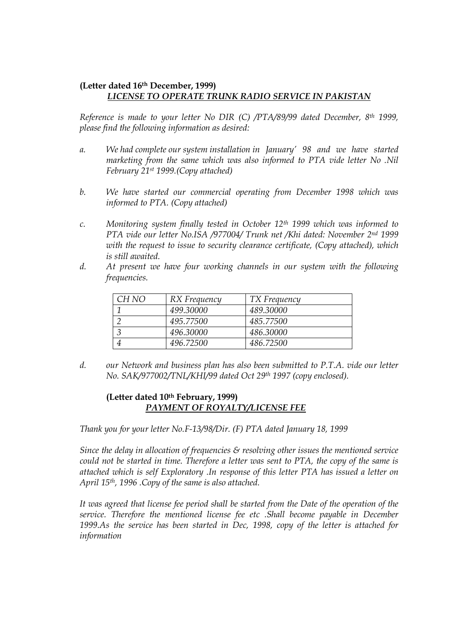### **(Letter dated 16th December, 1999)**  *LICENSE TO OPERATE TRUNK RADIO SERVICE IN PAKISTAN*

*Reference is made to your letter No DIR (C) /PTA/89/99 dated December, 8th 1999, please find the following information as desired:* 

- *a. We had complete our system installation in January' 98 and we have started marketing from the same which was also informed to PTA vide letter No .Nil February 21st 1999.(Copy attached)*
- *b. We have started our commercial operating from December 1998 which was informed to PTA. (Copy attached)*
- *c. Monitoring system finally tested in October 12th 1999 which was informed to PTA vide our letter No.ISA /977004/ Trunk net /Khi dated: November 2nd 1999 with the request to issue to security clearance certificate, (Copy attached), which is still awaited.*
- *d. At present we have four working channels in our system with the following frequencies.*

| CH <sub>NO</sub> | RX Frequency | TX Frequency |
|------------------|--------------|--------------|
|                  | 499.30000    | 489.30000    |
|                  | 495.77500    | 485.77500    |
|                  | 496.30000    | 486.30000    |
|                  | 496.72500    | 486.72500    |

*d. our Network and business plan has also been submitted to P.T.A. vide our letter No. SAK/977002/TNL/KHI/99 dated Oct 29th 1997 (copy enclosed).* 

## **(Letter dated 10th February, 1999)**  *PAYMENT OF ROYALTY/LICENSE FEE*

*Thank you for your letter No.F-13/98/Dir. (F) PTA dated January 18, 1999* 

*Since the delay in allocation of frequencies & resolving other issues the mentioned service could not be started in time. Therefore a letter was sent to PTA, the copy of the same is attached which is self Exploratory .In response of this letter PTA has issued a letter on April 15th, 1996 .Copy of the same is also attached.* 

*It was agreed that license fee period shall be started from the Date of the operation of the service. Therefore the mentioned license fee etc .Shall become payable in December 1999.As the service has been started in Dec, 1998, copy of the letter is attached for information*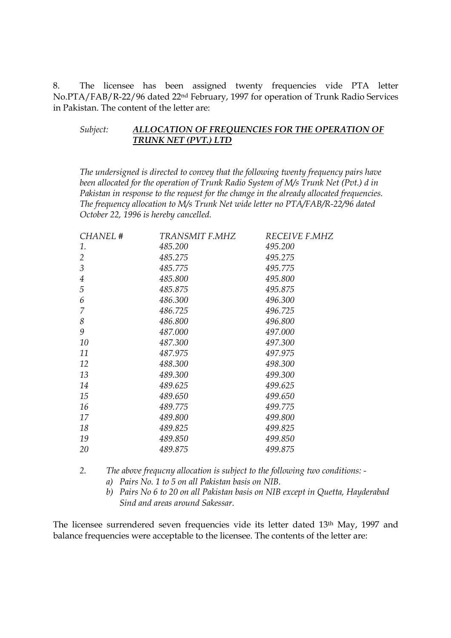8. The licensee has been assigned twenty frequencies vide PTA letter No.PTA/FAB/R-22/96 dated 22nd February, 1997 for operation of Trunk Radio Services in Pakistan. The content of the letter are:

#### *Subject: ALLOCATION OF FREQUENCIES FOR THE OPERATION OF TRUNK NET (PVT.) LTD*

*The undersigned is directed to convey that the following twenty frequency pairs have been allocated for the operation of Trunk Radio System of M/s Trunk Net (Pvt.) d in Pakistan in response to the request for the change in the already allocated frequencies. The frequency allocation to M/s Trunk Net wide letter no PTA/FAB/R-22/96 dated October 22, 1996 is hereby cancelled.* 

| <b>CHANEL#</b> | TRANSMIT F.MHZ | RECEIVE F.MHZ |
|----------------|----------------|---------------|
| 1.             | 485.200        | 495.200       |
| $\overline{2}$ | 485.275        | 495.275       |
| 3              | 485.775        | 495.775       |
| $\overline{4}$ | 485.800        | 495.800       |
| 5              | 485.875        | 495.875       |
| 6              | 486.300        | 496.300       |
| 7              | 486.725        | 496.725       |
| 8              | 486.800        | 496.800       |
| 9              | 487.000        | 497.000       |
| 10             | 487.300        | 497.300       |
| 11             | 487.975        | 497.975       |
| 12             | 488.300        | 498.300       |
| 13             | 489.300        | 499.300       |
| 14             | 489.625        | 499.625       |
| 15             | 489.650        | 499.650       |
| 16             | 489.775        | 499.775       |
| 17             | 489.800        | 499.800       |
| 18             | 489.825        | 499.825       |
| 19             | 489.850        | 499.850       |
| 20             | 489.875        | 499.875       |

- *2. The above frequcny allocation is subject to the following two conditions:* 
	- *a) Pairs No. 1 to 5 on all Pakistan basis on NIB.*
	- *b) Pairs No 6 to 20 on all Pakistan basis on NIB except in Quetta, Hayderabad Sind and areas around Sakessar.*

The licensee surrendered seven frequencies vide its letter dated 13<sup>th</sup> May, 1997 and balance frequencies were acceptable to the licensee. The contents of the letter are: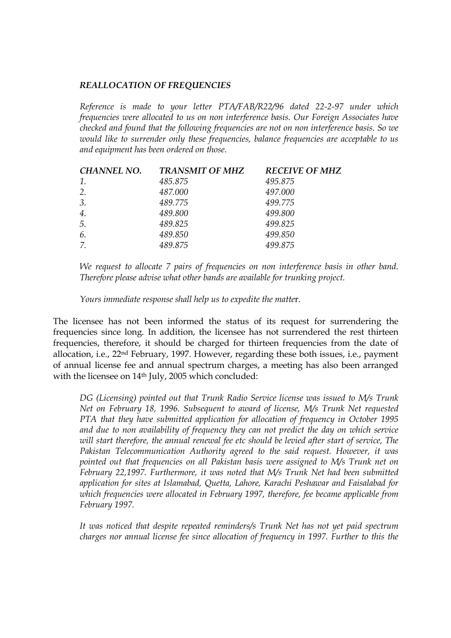### *REALLOCATION OF FREQUENCIES*

*Reference is made to your letter PTA/FAB/R22/96 dated 22-2-97 under which frequencies were allocated to us on non interference basis. Our Foreign Associates have checked and found that the following frequencies are not on non interference basis. So we would like to surrender only these frequencies, balance frequencies are acceptable to us and equipment has been ordered on those.* 

| <b>CHANNEL NO.</b> | <b>TRANSMIT OF MHZ</b> | <b>RECEIVE OF MHZ</b> |
|--------------------|------------------------|-----------------------|
| 1.                 | 485.875                | 495.875               |
| 2.                 | 487.000                | 497.000               |
| 3.                 | 489.775                | 499.775               |
| 4.                 | 489.800                | 499.800               |
| 5.                 | 489.825                | 499.825               |
| 6.                 | 489.850                | 499.850               |
| 7.                 | 489.875                | 499.875               |

*We request to allocate 7 pairs of frequencies on non interference basis in other band. Therefore please advise what other bands are available for trunking project.* 

*Yours immediate response shall help us to expedite the matte*r.

The licensee has not been informed the status of its request for surrendering the frequencies since long. In addition, the licensee has not surrendered the rest thirteen frequencies, therefore, it should be charged for thirteen frequencies from the date of allocation, i.e., 22nd February, 1997. However, regarding these both issues, i.e., payment of annual license fee and annual spectrum charges, a meeting has also been arranged with the licensee on 14<sup>th</sup> July, 2005 which concluded:

*DG (Licensing) pointed out that Trunk Radio Service license was issued to M/s Trunk Net on February 18, 1996. Subsequent to award of license, M/s Trunk Net requested PTA that they have submitted application for allocation of frequency in October 1995 and due to non availability of frequency they can not predict the day on which service will start therefore, the annual renewal fee etc should be levied after start of service, The Pakistan Telecommunication Authority agreed to the said request. However, it was pointed out that frequencies on all Pakistan basis were assigned to M/s Trunk net on February 22,1997. Furthermore, it was noted that M/s Trunk Net had been submitted application for sites at Islamabad, Quetta, Lahore, Karachi Peshawar and Faisalabad for which frequencies were allocated in February 1997, therefore, fee became applicable from February 1997.* 

*It was noticed that despite repeated reminders/s Trunk Net has not yet paid spectrum charges nor annual license fee since allocation of frequency in 1997. Further to this the*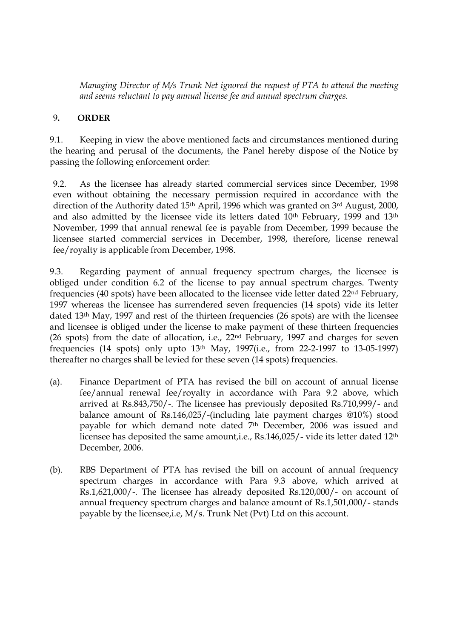*Managing Director of M/s Trunk Net ignored the request of PTA to attend the meeting and seems reluctant to pay annual license fee and annual spectrum charges.* 

# 9**. ORDER**

9.1. Keeping in view the above mentioned facts and circumstances mentioned during the hearing and perusal of the documents, the Panel hereby dispose of the Notice by passing the following enforcement order:

9.2. As the licensee has already started commercial services since December, 1998 even without obtaining the necessary permission required in accordance with the direction of the Authority dated 15<sup>th</sup> April, 1996 which was granted on 3<sup>rd</sup> August, 2000, and also admitted by the licensee vide its letters dated 10th February, 1999 and 13th November, 1999 that annual renewal fee is payable from December, 1999 because the licensee started commercial services in December, 1998, therefore, license renewal fee/royalty is applicable from December, 1998.

9.3. Regarding payment of annual frequency spectrum charges, the licensee is obliged under condition 6.2 of the license to pay annual spectrum charges. Twenty frequencies (40 spots) have been allocated to the licensee vide letter dated 22nd February, 1997 whereas the licensee has surrendered seven frequencies (14 spots) vide its letter dated 13th May, 1997 and rest of the thirteen frequencies (26 spots) are with the licensee and licensee is obliged under the license to make payment of these thirteen frequencies (26 spots) from the date of allocation, i.e., 22nd February, 1997 and charges for seven frequencies (14 spots) only upto 13th May, 1997(i.e., from 22-2-1997 to 13-05-1997) thereafter no charges shall be levied for these seven (14 spots) frequencies.

- (a). Finance Department of PTA has revised the bill on account of annual license fee/annual renewal fee/royalty in accordance with Para 9.2 above, which arrived at Rs.843,750/-. The licensee has previously deposited Rs.710,999/- and balance amount of Rs.146,025/-(including late payment charges @10%) stood payable for which demand note dated 7th December, 2006 was issued and licensee has deposited the same amount,i.e., Rs.146,025/- vide its letter dated 12th December, 2006.
- (b). RBS Department of PTA has revised the bill on account of annual frequency spectrum charges in accordance with Para 9.3 above, which arrived at Rs.1,621,000/-. The licensee has already deposited Rs.120,000/- on account of annual frequency spectrum charges and balance amount of Rs.1,501,000/- stands payable by the licensee,i.e, M/s. Trunk Net (Pvt) Ltd on this account.